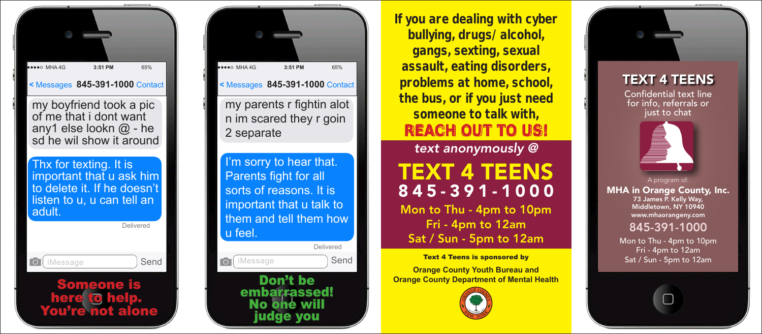

my boyfriend took a pic of me that i dont want any1 else lookn @ - he sd he wil show it around

Thx for texting. It is important that u ask him to delete it. If he doesn't listen to u, u can tell an adult.





**If you are dealing with cyber bullying, drugs/alcohol, gangs, sexting, sexual assault, eating disorders, problems at home, school, the bus, or if you just need someone to talk with, REACH OUT TO US!**

*text anonymously @*

## TEXT 4 TEENS 845-391-1000

Mon to Thu - 4pm to 10pm Fri - 4pm to 12am Sat / Sun - 5pm to 12am

## Text 4 Teens is sponsored by

**Orange County Youth Bureau and Orange County Department of Mental Health**